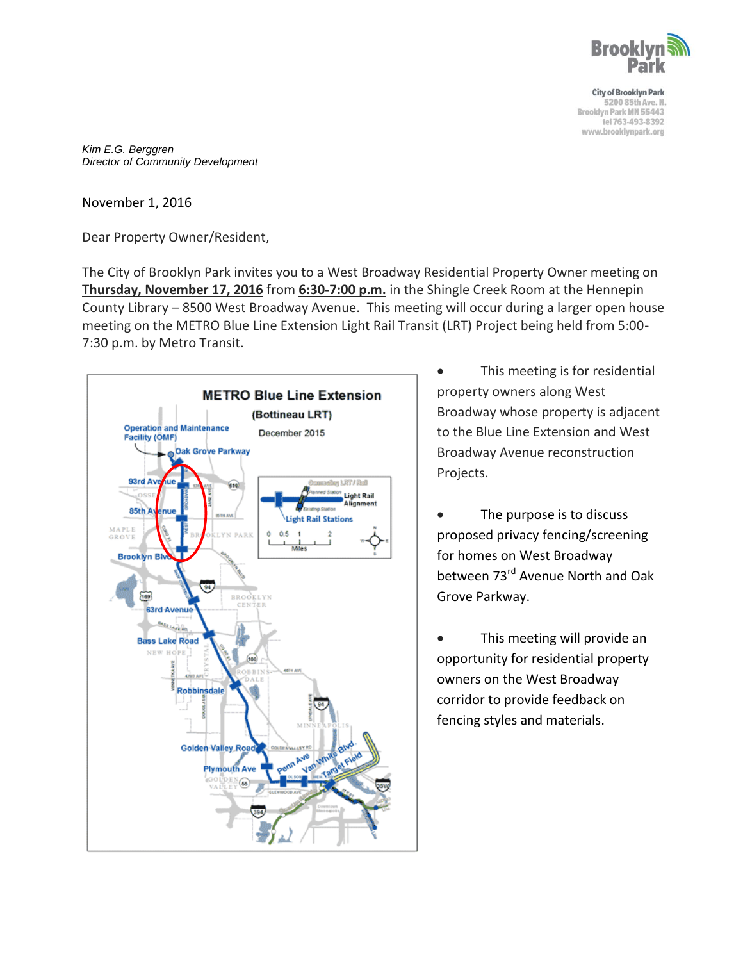

**City of Brooklyn Park** 5200 85th Ave. N. Brooklyn Park MN 55443 tel 763-493-8392 www.brooklynpark.org

*Kim E.G. Berggren Director of Community Development*

November 1, 2016

Dear Property Owner/Resident,

The City of Brooklyn Park invites you to a West Broadway Residential Property Owner meeting on **Thursday, November 17, 2016** from **6:30-7:00 p.m.** in the Shingle Creek Room at the Hennepin County Library – 8500 West Broadway Avenue. This meeting will occur during a larger open house meeting on the METRO Blue Line Extension Light Rail Transit (LRT) Project being held from 5:00- 7:30 p.m. by Metro Transit.



- This meeting is for residential property owners along West Broadway whose property is adjacent to the Blue Line Extension and West Broadway Avenue reconstruction Projects.
- The purpose is to discuss proposed privacy fencing/screening for homes on West Broadway between 73rd Avenue North and Oak Grove Parkway.
- This meeting will provide an opportunity for residential property owners on the West Broadway corridor to provide feedback on fencing styles and materials.